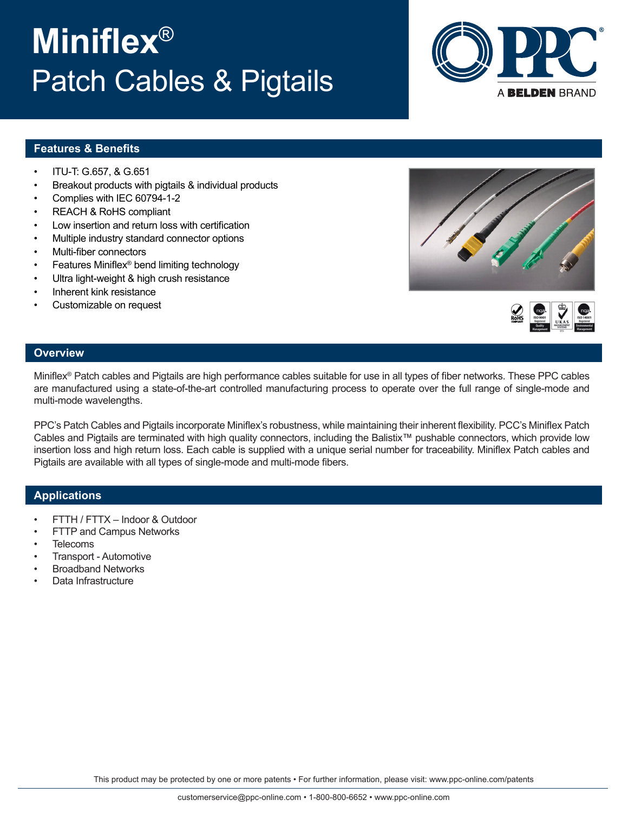## This product may be protected by one or more patents • For further information, please visit: www.ppc-online.com/patents

# **Miniflex**® Patch Cables & Pigtails

**Features & Benefits**

- ITU-T: G.657, & G.651
- Breakout products with pigtails & individual products
- Complies with IEC 60794-1-2
- REACH & RoHS compliant
- Low insertion and return loss with certification
- Multiple industry standard connector options
- Multi-fiber connectors
- Features Miniflex® bend limiting technology
- Ultra light-weight & high crush resistance
- Inherent kink resistance
- Customizable on request





## **Overview**

Miniflex® Patch cables and Pigtails are high performance cables suitable for use in all types of fiber networks. These PPC cables are manufactured using a state-of-the-art controlled manufacturing process to operate over the full range of single-mode and multi-mode wavelengths.

PPC's Patch Cables and Pigtails incorporate Miniflex's robustness, while maintaining their inherent flexibility. PCC's Miniflex Patch Cables and Pigtails are terminated with high quality connectors, including the Balistix™ pushable connectors, which provide low insertion loss and high return loss. Each cable is supplied with a unique serial number for traceability. Miniflex Patch cables and Pigtails are available with all types of single-mode and multi-mode fibers.

## **Applications**

- FTTH / FTTX Indoor & Outdoor
- FTTP and Campus Networks
- **Telecoms**
- Transport Automotive
- Broadband Networks
- Data Infrastructure

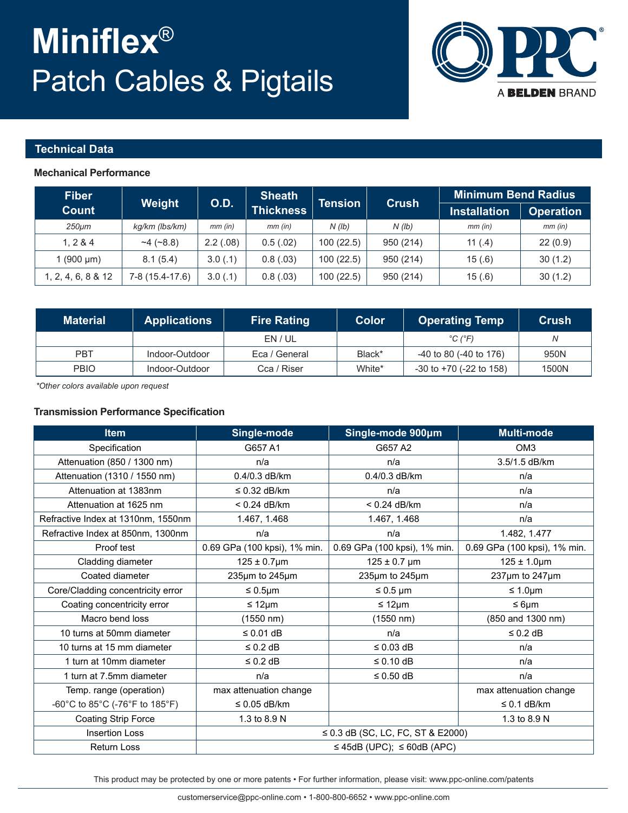# **Miniflex**® Patch Cables & Pigtails



### **Technical Data**

#### **Mechanical Performance**

| <b>Fiber</b><br><b>Count</b> | Weight          | <b>O.D.</b> | <b>Sheath</b><br><b>Thickness</b> | <b>Tension</b> | <b>Crush</b> | <b>Minimum Bend Radius</b> |                  |  |
|------------------------------|-----------------|-------------|-----------------------------------|----------------|--------------|----------------------------|------------------|--|
|                              |                 |             |                                   |                |              | <b>Installation</b>        | <b>Operation</b> |  |
| 250µm                        | kg/km (lbs/km)  | $mm$ (in)   | $mm$ (in)                         | N(lb)          | N(lb)        | $mm$ (in)                  | $mm$ (in)        |  |
| 1.284                        | ~14~(~8.8)      | 2.2(.08)    | 0.5(.02)                          | 100(22.5)      | 950 (214)    | 11 $(.4)$                  | 22(0.9)          |  |
| 1 $(900 \mu m)$              | 8.1(5.4)        | 3.0(.1)     | 0.8(.03)                          | 100(22.5)      | 950 (214)    | 15(.6)                     | 30(1.2)          |  |
| 1, 2, 4, 6, 8 & 12           | 7-8 (15.4-17.6) | 3.0(0.1)    | 0.8(.03)                          | 100(22.5)      | 950 (214)    | 15(.6)                     | 30(1.2)          |  |

| <b>Material</b> | <b>Applications</b> | <b>Fire Rating</b> | <b>Color</b> | <b>Operating Temp</b>             | Crush |
|-----------------|---------------------|--------------------|--------------|-----------------------------------|-------|
|                 |                     | EN / UL            |              | $^{\circ}$ C ( $^{\circ}$ F)      | N     |
| PBT             | Indoor-Outdoor      | Eca / General      | Black*       | -40 to 80 (-40 to 176)            | 950N  |
| <b>PBIO</b>     | Indoor-Outdoor      | Cca / Riser        | White*       | $-30$ to $+70$ ( $-22$ to $158$ ) | 1500N |

*\*Other colors available upon request* 

### **Transmission Performance Specification**

| <b>Item</b>                        | Single-mode                  | Single-mode 900um                      | <b>Multi-mode</b>            |  |
|------------------------------------|------------------------------|----------------------------------------|------------------------------|--|
| Specification                      | G657 A1                      | G657 A2                                | OM <sub>3</sub>              |  |
| Attenuation (850 / 1300 nm)        | n/a                          | n/a                                    | 3.5/1.5 dB/km                |  |
| Attenuation (1310 / 1550 nm)       | 0.4/0.3 dB/km                | 0.4/0.3 dB/km                          | n/a                          |  |
| Attenuation at 1383nm              | $\leq$ 0.32 dB/km            | n/a                                    | n/a                          |  |
| Attenuation at 1625 nm             | $< 0.24$ dB/km               | $< 0.24$ dB/km                         | n/a                          |  |
| Refractive Index at 1310nm, 1550nm | 1.467, 1.468                 | 1.467, 1.468                           | n/a                          |  |
| Refractive Index at 850nm, 1300nm  | n/a                          | n/a                                    | 1.482, 1.477                 |  |
| Proof test                         | 0.69 GPa (100 kpsi), 1% min. | 0.69 GPa (100 kpsi), 1% min.           | 0.69 GPa (100 kpsi), 1% min. |  |
| Cladding diameter                  | $125 \pm 0.7$ µm             | $125 \pm 0.7$ µm                       | $125 \pm 1.0 \mu m$          |  |
| Coated diameter                    | 235µm to 245µm               | 235µm to 245µm                         | 237um to 247um               |  |
| Core/Cladding concentricity error  | $\leq 0.5$ µm                | $\leq 0.5$ µm                          | $\leq 1.0 \mu m$             |  |
| Coating concentricity error        | ≤ 12 $µm$                    | ≤ 12 $µm$                              | $\leq 6 \mu m$               |  |
| Macro bend loss                    | $(1550 \; nm)$               | (1550 nm)                              | (850 and 1300 nm)            |  |
| 10 turns at 50mm diameter          | ≤ $0.01$ dB                  | n/a                                    | $\leq 0.2$ dB                |  |
| 10 turns at 15 mm diameter         | $\leq$ 0.2 dB                | $\leq$ 0.03 dB                         | n/a                          |  |
| 1 turn at 10mm diameter            | $\leq 0.2$ dB                | $\leq 0.10$ dB                         | n/a                          |  |
| 1 turn at 7.5mm diameter           | n/a                          | $\leq 0.50$ dB                         | n/a                          |  |
| Temp. range (operation)            | max attenuation change       |                                        | max attenuation change       |  |
| -60°C to 85°C (-76°F to 185°F)     | $\leq$ 0.05 dB/km            |                                        | $\leq$ 0.1 dB/km             |  |
| Coating Strip Force                | 1.3 to 8.9 N                 |                                        | 1.3 to 8.9 N                 |  |
| <b>Insertion Loss</b>              |                              | $\leq$ 0.3 dB (SC, LC, FC, ST & E2000) |                              |  |
| Return Loss                        |                              | $\leq$ 45dB (UPC); $\leq$ 60dB (APC)   |                              |  |

This product may be protected by one or more patents • For further information, please visit: www.ppc-online.com/patents